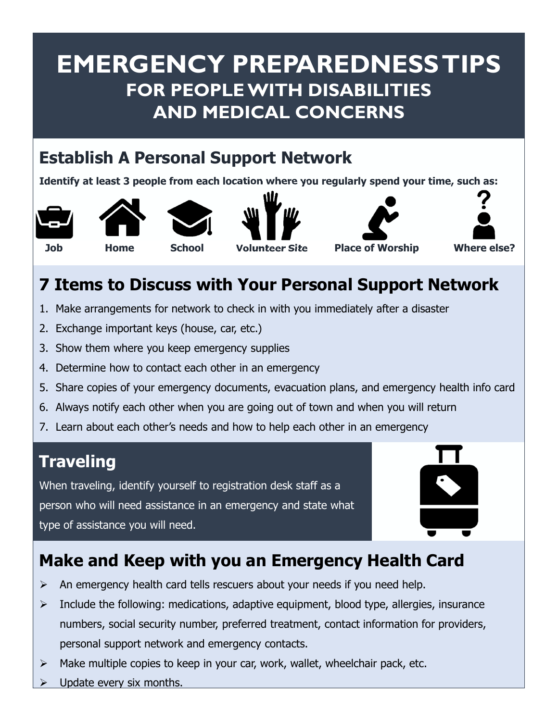### **EMERGENCY PREPAREDNESS TIPS FOR PEOPLE WITH DISABILITIES AND MEDICAL CONCERNS**

#### **Establish A Personal Support Network**

**Identify at least 3 people from each location where you regularly spend your time, such as:**













#### **7 Items to Discuss with Your Personal Support Network**

- 1. Make arrangements for network to check in with you immediately after a disaster
- 2. Exchange important keys (house, car, etc.)
- 3. Show them where you keep emergency supplies
- 4. Determine how to contact each other in an emergency
- 5. Share copies of your emergency documents, evacuation plans, and emergency health info card
- 6. Always notify each other when you are going out of town and when you will return
- 7. Learn about each other's needs and how to help each other in an emergency

#### **Traveling**

When traveling, identify yourself to registration desk staff as a person who will need assistance in an emergency and state what type of assistance you will need.



#### **Make and Keep with you an Emergency Health Card**

- $\triangleright$  An emergency health card tells rescuers about your needs if you need help.
- $\triangleright$  Include the following: medications, adaptive equipment, blood type, allergies, insurance numbers, social security number, preferred treatment, contact information for providers, personal support network and emergency contacts.
- $\triangleright$  Make multiple copies to keep in your car, work, wallet, wheelchair pack, etc.
- Update every six months.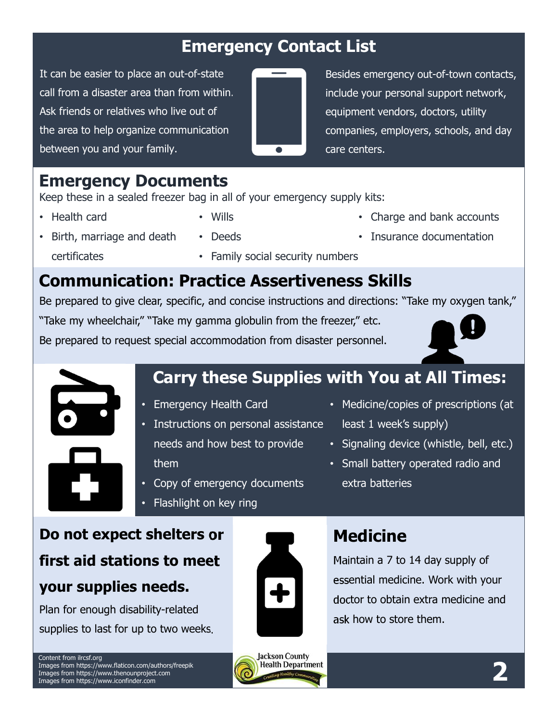#### **Emergency Contact List**

It can be easier to place an out-of-state call from a disaster area than from within. Ask friends or relatives who live out of the area to help organize communication between you and your family.



Besides emergency out-of-town contacts, include your personal support network, equipment vendors, doctors, utility companies, employers, schools, and day care centers.

#### **Emergency Documents**

Keep these in a sealed freezer bag in all of your emergency supply kits:

• Health card

- Wills
- Deeds
- Charge and bank accounts
- Birth, marriage and death certificates
- Family social security numbers
- Insurance documentation

#### **Communication: Practice Assertiveness Skills**

Be prepared to give clear, specific, and concise instructions and directions: "Take my oxygen tank,"

"Take my wheelchair," "Take my gamma globulin from the freezer," etc.

Be prepared to request special accommodation from disaster personnel.





#### **Carry these Supplies with You at All Times:**

- Emergency Health Card
- Instructions on personal assistance needs and how best to provide them
- Medicine/copies of prescriptions (at least 1 week's supply)
	- Signaling device (whistle, bell, etc.)
	- Small battery operated radio and extra batteries
- Copy of emergency documents
- Flashlight on key ring

#### **Do not expect shelters or**

## **first aid stations to meet**

#### **your supplies needs.**

Plan for enough disability-related supplies to last for up to two weeks.



#### **Medicine**

Maintain a 7 to 14 day supply of essential medicine. Work with your doctor to obtain extra medicine and ask how to store them.

Content from ilrcsf.org Images from https://www.flaticon.com/authors/freepik Images from https://www.thenounproject.com Images from https://www.iconfinder.com